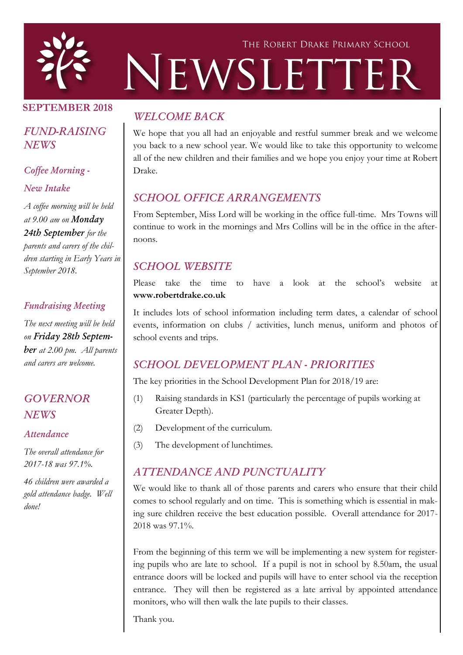

# THE ROBERT DRAKE PRIMARY SCHOOL NEWSLETTER

#### SEPTEMBER 2018

## *FUND-RAISING NEWS*

#### *Coffee Morning -*

#### *New Intake*

*A coffee morning will be held at 9.00 am on Monday 24th September for the parents and carers of the children starting in Early Years in September 2018.*

#### *Fundraising Meeting*

*The next meeting will be held on Friday 28th September at 2.00 pm. All parents and carers are welcome.*

# *GOVERNOR NEWS*

#### *Attendance*

*The overall attendance for 2017-18 was 97.1%.* 

*46 children were awarded a gold attendance badge. Well done!*

# *WELCOME BACK*

We hope that you all had an enjoyable and restful summer break and we welcome you back to a new school year. We would like to take this opportunity to welcome all of the new children and their families and we hope you enjoy your time at Robert Drake.

# *SCHOOL OFFICE ARRANGEMENTS*

From September, Miss Lord will be working in the office full-time. Mrs Towns will continue to work in the mornings and Mrs Collins will be in the office in the afternoons.

# *SCHOOL WEBSITE*

Please take the time to have a look at the school's website at www.robertdrake.co.uk

It includes lots of school information including term dates, a calendar of school events, information on clubs / activities, lunch menus, uniform and photos of school events and trips.

# *SCHOOL DEVELOPMENT PLAN - PRIORITIES*

The key priorities in the School Development Plan for 2018/19 are:

- (1) Raising standards in KS1 (particularly the percentage of pupils working at Greater Depth).
- (2) Development of the curriculum.
- (3) The development of lunchtimes.

# *ATTENDANCE AND PUNCTUALITY*

We would like to thank all of those parents and carers who ensure that their child comes to school regularly and on time. This is something which is essential in making sure children receive the best education possible. Overall attendance for 2017- 2018 was 97.1%.

From the beginning of this term we will be implementing a new system for registering pupils who are late to school. If a pupil is not in school by 8.50am, the usual entrance doors will be locked and pupils will have to enter school via the reception entrance. They will then be registered as a late arrival by appointed attendance monitors, who will then walk the late pupils to their classes.

Thank you.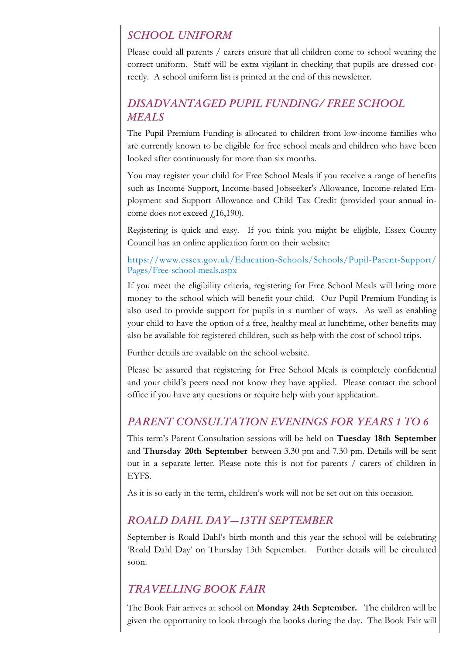### *SCHOOL UNIFORM*

Please could all parents / carers ensure that all children come to school wearing the correct uniform. Staff will be extra vigilant in checking that pupils are dressed correctly. A school uniform list is printed at the end of this newsletter.

## *DISADVANTAGED PUPIL FUNDING/ FREE SCHOOL MEALS*

The Pupil Premium Funding is allocated to children from low-income families who are currently known to be eligible for free school meals and children who have been looked after continuously for more than six months.

You may register your child for Free School Meals if you receive a range of benefits such as Income Support, Income-based Jobseeker's Allowance, Income-related Employment and Support Allowance and Child Tax Credit (provided your annual income does not exceed  $f(16,190)$ .

Registering is quick and easy. If you think you might be eligible, Essex County Council has an online application form on their website:

https://www.essex.gov.uk/Education-Schools/Schools/Pupil-Parent-Support/ Pages/Free-school-meals.aspx

If you meet the eligibility criteria, registering for Free School Meals will bring more money to the school which will benefit your child. Our Pupil Premium Funding is also used to provide support for pupils in a number of ways. As well as enabling your child to have the option of a free, healthy meal at lunchtime, other benefits may also be available for registered children, such as help with the cost of school trips.

Further details are available on the school website.

Please be assured that registering for Free School Meals is completely confidential and your child's peers need not know they have applied. Please contact the school office if you have any questions or require help with your application.

# *PARENT CONSULTATION EVENINGS FOR YEARS 1 TO 6*

This term's Parent Consultation sessions will be held on Tuesday 18th September and Thursday 20th September between 3.30 pm and 7.30 pm. Details will be sent out in a separate letter. Please note this is not for parents / carers of children in EYFS.

As it is so early in the term, children's work will not be set out on this occasion.

#### *ROALD DAHL DAY—13TH SEPTEMBER*

September is Roald Dahl's birth month and this year the school will be celebrating 'Roald Dahl Day' on Thursday 13th September. Further details will be circulated soon.

# *TRAVELLING BOOK FAIR*

The Book Fair arrives at school on Monday 24th September. The children will be given the opportunity to look through the books during the day. The Book Fair will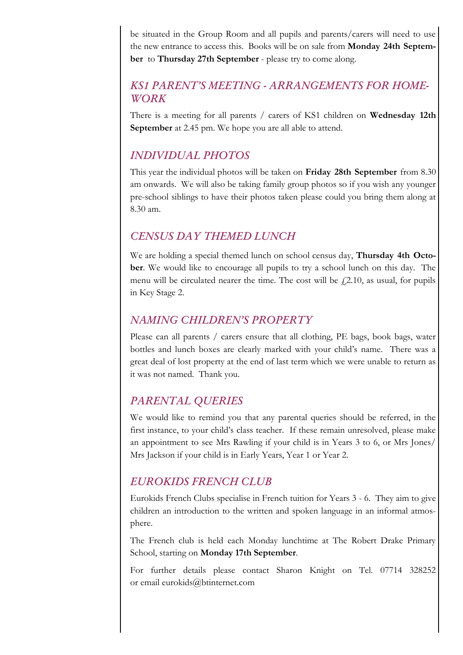be situated in the Group Room and all pupils and parents/carers will need to use the new entrance to access this. Books will be on sale from Monday 24th September to Thursday 27th September - please try to come along.

## *KS1 PARENT'S MEETING - ARRANGEMENTS FOR HOME-WORK*

There is a meeting for all parents / carers of KS1 children on Wednesday 12th September at 2.45 pm. We hope you are all able to attend.

#### *INDIVIDUAL PHOTOS*

This year the individual photos will be taken on Friday 28th September from 8.30 am onwards. We will also be taking family group photos so if you wish any younger pre-school siblings to have their photos taken please could you bring them along at 8.30 am.

#### *CENSUS DAY THEMED LUNCH*

We are holding a special themed lunch on school census day, **Thursday 4th Octo**ber. We would like to encourage all pupils to try a school lunch on this day. The menu will be circulated nearer the time. The cost will be  $f(2.10)$ , as usual, for pupils in Key Stage 2.

## *NAMING CHILDREN'S PROPERTY*

Please can all parents / carers ensure that all clothing, PE bags, book bags, water bottles and lunch boxes are clearly marked with your child's name. There was a great deal of lost property at the end of last term which we were unable to return as it was not named. Thank you.

# *PARENTAL QUERIES*

We would like to remind you that any parental queries should be referred, in the first instance, to your child's class teacher. If these remain unresolved, please make an appointment to see Mrs Rawling if your child is in Years 3 to 6, or Mrs Jones/ Mrs Jackson if your child is in Early Years, Year 1 or Year 2.

#### *EUROKIDS FRENCH CLUB*

Eurokids French Clubs specialise in French tuition for Years 3 - 6. They aim to give children an introduction to the written and spoken language in an informal atmosphere.

The French club is held each Monday lunchtime at The Robert Drake Primary School, starting on Monday 17th September.

For further details please contact Sharon Knight on Tel. 07714 328252 or email eurokids@btinternet.com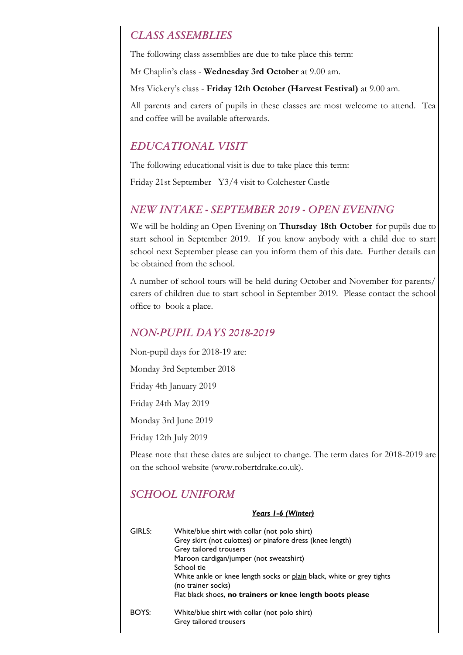#### *CLASS ASSEMBLIES*

The following class assemblies are due to take place this term:

Mr Chaplin's class - Wednesday 3rd October at 9.00 am.

Mrs Vickery's class - Friday 12th October (Harvest Festival) at 9.00 am.

All parents and carers of pupils in these classes are most welcome to attend. Tea and coffee will be available afterwards.

#### *EDUCATIONAL VISIT*

The following educational visit is due to take place this term:

Friday 21st September Y3/4 visit to Colchester Castle

#### *NEW INTAKE - SEPTEMBER 2019 - OPEN EVENING*

We will be holding an Open Evening on Thursday 18th October for pupils due to start school in September 2019. If you know anybody with a child due to start school next September please can you inform them of this date. Further details can be obtained from the school.

A number of school tours will be held during October and November for parents/ carers of children due to start school in September 2019. Please contact the school office to book a place.

#### *NON-PUPIL DAYS 2018-2019*

Non-pupil days for 2018-19 are:

Monday 3rd September 2018

Friday 4th January 2019

Friday 24th May 2019

Monday 3rd June 2019

Friday 12th July 2019

Please note that these dates are subject to change. The term dates for 2018-2019 are on the school website (www.robertdrake.co.uk).

#### *SCHOOL UNIFORM*

#### *Years 1-6 (Winter)*

| GIRLS: | White/blue shirt with collar (not polo shirt)<br>Grey skirt (not culottes) or pinafore dress (knee length)<br>Grey tailored trousers<br>Maroon cardigan/jumper (not sweatshirt)<br>School tie<br>White ankle or knee length socks or plain black, white or grey tights<br>(no trainer socks)<br>Flat black shoes, no trainers or knee length boots please |
|--------|-----------------------------------------------------------------------------------------------------------------------------------------------------------------------------------------------------------------------------------------------------------------------------------------------------------------------------------------------------------|
| BOYS:  | White/blue shirt with collar (not polo shirt)<br>Grey tailored trousers                                                                                                                                                                                                                                                                                   |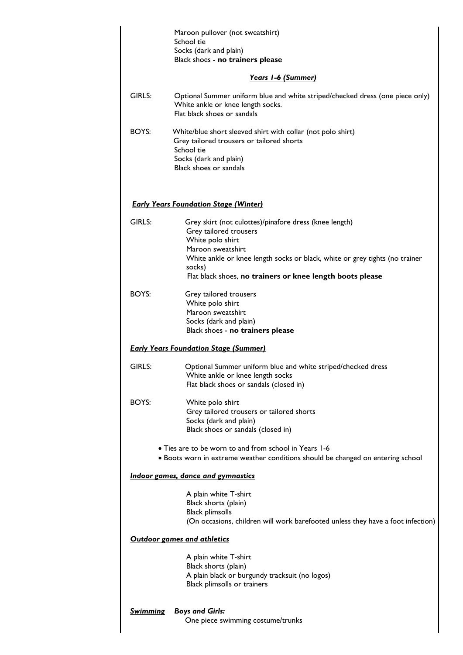|                                                                                                                                          | Maroon pullover (not sweatshirt)<br>School tie                                                                                                                                                                                                                                  |  |  |
|------------------------------------------------------------------------------------------------------------------------------------------|---------------------------------------------------------------------------------------------------------------------------------------------------------------------------------------------------------------------------------------------------------------------------------|--|--|
|                                                                                                                                          | Socks (dark and plain)<br>Black shoes - no trainers please                                                                                                                                                                                                                      |  |  |
| Years 1-6 (Summer)                                                                                                                       |                                                                                                                                                                                                                                                                                 |  |  |
| GIRLS:                                                                                                                                   | Optional Summer uniform blue and white striped/checked dress (one piece only)<br>White ankle or knee length socks.<br>Flat black shoes or sandals                                                                                                                               |  |  |
| BOYS:                                                                                                                                    | White/blue short sleeved shirt with collar (not polo shirt)<br>Grey tailored trousers or tailored shorts<br>School tie<br>Socks (dark and plain)<br>Black shoes or sandals                                                                                                      |  |  |
| <b>Early Years Foundation Stage (Winter)</b>                                                                                             |                                                                                                                                                                                                                                                                                 |  |  |
| GIRLS:                                                                                                                                   | Grey skirt (not culottes)/pinafore dress (knee length)<br>Grey tailored trousers<br>White polo shirt<br>Maroon sweatshirt<br>White ankle or knee length socks or black, white or grey tights (no trainer<br>socks)<br>Flat black shoes, no trainers or knee length boots please |  |  |
| BOYS:                                                                                                                                    | Grey tailored trousers<br>White polo shirt<br>Maroon sweatshirt<br>Socks (dark and plain)<br>Black shoes - no trainers please                                                                                                                                                   |  |  |
| <b>Early Years Foundation Stage (Summer)</b>                                                                                             |                                                                                                                                                                                                                                                                                 |  |  |
| GIRLS:                                                                                                                                   | Optional Summer uniform blue and white striped/checked dress<br>White ankle or knee length socks<br>Flat black shoes or sandals (closed in)                                                                                                                                     |  |  |
| BOYS:                                                                                                                                    | White polo shirt<br>Grey tailored trousers or tailored shorts<br>Socks (dark and plain)<br>Black shoes or sandals (closed in)                                                                                                                                                   |  |  |
| • Ties are to be worn to and from school in Years 1-6<br>. Boots worn in extreme weather conditions should be changed on entering school |                                                                                                                                                                                                                                                                                 |  |  |
| Indoor games, dance and gymnastics                                                                                                       |                                                                                                                                                                                                                                                                                 |  |  |
|                                                                                                                                          | A plain white T-shirt<br>Black shorts (plain)<br><b>Black plimsolls</b><br>(On occasions, children will work barefooted unless they have a foot infection)                                                                                                                      |  |  |
| <b>Outdoor games and athletics</b>                                                                                                       |                                                                                                                                                                                                                                                                                 |  |  |
|                                                                                                                                          | A plain white T-shirt<br>Black shorts (plain)<br>A plain black or burgundy tracksuit (no logos)<br>Black plimsolls or trainers                                                                                                                                                  |  |  |
| <u>Swimming</u>                                                                                                                          | <b>Boys and Girls:</b><br>One piece swimming costume/trunks                                                                                                                                                                                                                     |  |  |